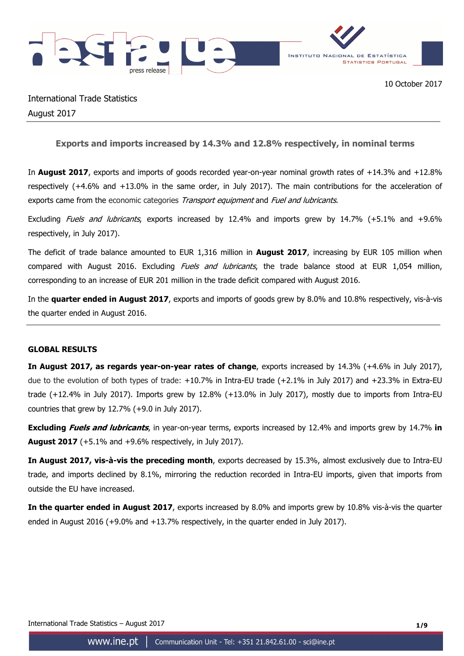

International Trade Statistics August 2017

# **Exports and imports increased by 14.3% and 12.8% respectively, in nominal terms**

In **August 2017**, exports and imports of goods recorded year-on-year nominal growth rates of +14.3% and +12.8% respectively (+4.6% and +13.0% in the same order, in July 2017). The main contributions for the acceleration of exports came from the economic categories Transport equipment and Fuel and lubricants.

Excluding *Fuels and lubricants*, exports increased by 12.4% and imports grew by 14.7% (+5.1% and +9.6% respectively, in July 2017).

The deficit of trade balance amounted to EUR 1,316 million in **August 2017**, increasing by EUR 105 million when compared with August 2016. Excluding Fuels and lubricants, the trade balance stood at EUR 1,054 million, corresponding to an increase of EUR 201 million in the trade deficit compared with August 2016.

In the **quarter ended in August 2017**, exports and imports of goods grew by 8.0% and 10.8% respectively, vis-à-vis the quarter ended in August 2016.

# **GLOBAL RESULTS**

**In August 2017, as regards year-on-year rates of change**, exports increased by 14.3% (+4.6% in July 2017), due to the evolution of both types of trade: +10.7% in Intra-EU trade (+2.1% in July 2017) and +23.3% in Extra-EU trade (+12.4% in July 2017). Imports grew by 12.8% (+13.0% in July 2017), mostly due to imports from Intra-EU countries that grew by 12.7% (+9.0 in July 2017).

**Excluding Fuels and lubricants**, in year-on-year terms, exports increased by 12.4% and imports grew by 14.7% **in August 2017** (+5.1% and +9.6% respectively, in July 2017).

**In August 2017, vis-à-vis the preceding month**, exports decreased by 15.3%, almost exclusively due to Intra-EU trade, and imports declined by 8.1%, mirroring the reduction recorded in Intra-EU imports, given that imports from outside the EU have increased.

**In the quarter ended in August 2017**, exports increased by 8.0% and imports grew by 10.8% vis-à-vis the quarter ended in August 2016 (+9.0% and +13.7% respectively, in the quarter ended in July 2017).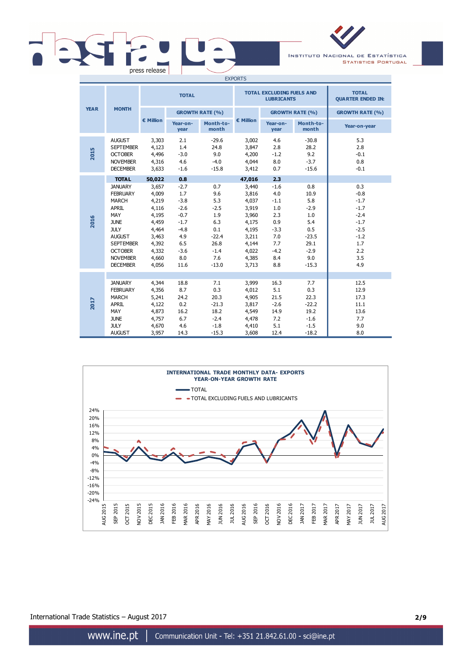# press release

INSTITUTO NACIONAL DE ESTATÍSTICA **STATISTICS PORTUGAL** 

| <b>EXPORTS</b> |                                                                                                                                                                                                     |                                                                                                          |                                                                                                        |                                                                                                 |                                                                                                          |                                                                                              |                                                                                                  |                                                                                                       |
|----------------|-----------------------------------------------------------------------------------------------------------------------------------------------------------------------------------------------------|----------------------------------------------------------------------------------------------------------|--------------------------------------------------------------------------------------------------------|-------------------------------------------------------------------------------------------------|----------------------------------------------------------------------------------------------------------|----------------------------------------------------------------------------------------------|--------------------------------------------------------------------------------------------------|-------------------------------------------------------------------------------------------------------|
|                |                                                                                                                                                                                                     |                                                                                                          | <b>TOTAL</b>                                                                                           |                                                                                                 |                                                                                                          | <b>TOTAL EXCLUDING FUELS AND</b><br><b>LUBRICANTS</b>                                        |                                                                                                  | <b>TOTAL</b><br><b>QUARTER ENDED IN:</b>                                                              |
| <b>YEAR</b>    | <b>MONTH</b>                                                                                                                                                                                        |                                                                                                          |                                                                                                        | <b>GROWTH RATE (%)</b>                                                                          |                                                                                                          |                                                                                              | <b>GROWTH RATE (%)</b>                                                                           | <b>GROWTH RATE (%)</b>                                                                                |
|                |                                                                                                                                                                                                     | € Million                                                                                                | Year-on-<br>year                                                                                       | Month-to-<br>month                                                                              | € Million                                                                                                | Year-on-<br>year                                                                             | Month-to-<br>month                                                                               | Year-on-year                                                                                          |
| 2015           | <b>AUGUST</b><br><b>SEPTEMBER</b><br><b>OCTOBER</b><br><b>NOVEMBER</b><br><b>DECEMBER</b>                                                                                                           | 3,303<br>4,123<br>4,496<br>4,316<br>3,633                                                                | 2.1<br>1.4<br>$-3.0$<br>4.6<br>$-1.6$                                                                  | $-29.6$<br>24.8<br>9.0<br>$-4.0$<br>$-15.8$                                                     | 3,002<br>3,847<br>4,200<br>4,044<br>3,412                                                                | 4.6<br>2.8<br>$-1.2$<br>8.0<br>0.7                                                           | $-30.8$<br>28.2<br>9.2<br>$-3.7$<br>$-15.6$                                                      | 5.3<br>2.8<br>$-0.1$<br>0.8<br>$-0.1$                                                                 |
|                | <b>TOTAL</b>                                                                                                                                                                                        | 50,022                                                                                                   | 0.8                                                                                                    |                                                                                                 | 47,016                                                                                                   | 2.3                                                                                          |                                                                                                  |                                                                                                       |
| 2016           | <b>JANUARY</b><br><b>FEBRUARY</b><br><b>MARCH</b><br><b>APRIL</b><br>MAY<br><b>JUNE</b><br><b>JULY</b><br><b>AUGUST</b><br><b>SEPTEMBER</b><br><b>OCTOBER</b><br><b>NOVEMBER</b><br><b>DECEMBER</b> | 3,657<br>4,009<br>4,219<br>4,116<br>4,195<br>4,459<br>4,464<br>3,463<br>4,392<br>4,332<br>4,660<br>4,056 | $-2.7$<br>1.7<br>$-3.8$<br>$-2.6$<br>$-0.7$<br>$-1.7$<br>$-4.8$<br>4.9<br>6.5<br>$-3.6$<br>8.0<br>11.6 | 0.7<br>9.6<br>5.3<br>$-2.5$<br>1.9<br>6.3<br>0.1<br>$-22.4$<br>26.8<br>$-1.4$<br>7.6<br>$-13.0$ | 3,440<br>3,816<br>4,037<br>3,919<br>3,960<br>4,175<br>4,195<br>3,211<br>4,144<br>4,022<br>4,385<br>3,713 | $-1.6$<br>4.0<br>$-1.1$<br>1.0<br>2.3<br>0.9<br>$-3.3$<br>7.0<br>7.7<br>$-4.2$<br>8.4<br>8.8 | 0.8<br>10.9<br>5.8<br>$-2.9$<br>1.0<br>5.4<br>0.5<br>$-23.5$<br>29.1<br>$-2.9$<br>9.0<br>$-15.3$ | 0.3<br>$-0.8$<br>$-1.7$<br>$-1.7$<br>$-2.4$<br>$-1.7$<br>$-2.5$<br>$-1.2$<br>1.7<br>2.2<br>3.5<br>4.9 |
|                |                                                                                                                                                                                                     |                                                                                                          |                                                                                                        |                                                                                                 |                                                                                                          |                                                                                              |                                                                                                  |                                                                                                       |
| 2017           | <b>JANUARY</b><br><b>FEBRUARY</b><br><b>MARCH</b><br><b>APRIL</b><br>MAY<br><b>JUNE</b><br><b>JULY</b>                                                                                              | 4,344<br>4,356<br>5,241<br>4,122<br>4,873<br>4,757<br>4,670                                              | 18.8<br>8.7<br>24.2<br>0.2<br>16.2<br>6.7<br>4.6                                                       | 7.1<br>0.3<br>20.3<br>$-21.3$<br>18.2<br>$-2.4$<br>$-1.8$                                       | 3,999<br>4,012<br>4,905<br>3,817<br>4,549<br>4,478<br>4,410                                              | 16.3<br>5.1<br>21.5<br>$-2.6$<br>14.9<br>7.2<br>5.1                                          | 7.7<br>0.3<br>22.3<br>$-22.2$<br>19.2<br>$-1.6$<br>$-1.5$                                        | 12.5<br>12.9<br>17.3<br>11.1<br>13.6<br>7.7<br>9.0                                                    |
|                | <b>AUGUST</b>                                                                                                                                                                                       | 3,957                                                                                                    | 14.3                                                                                                   | $-15.3$                                                                                         | 3,608                                                                                                    | 12.4                                                                                         | $-18.2$                                                                                          | 8.0                                                                                                   |



International Trade Statistics – August 2017 **2/9**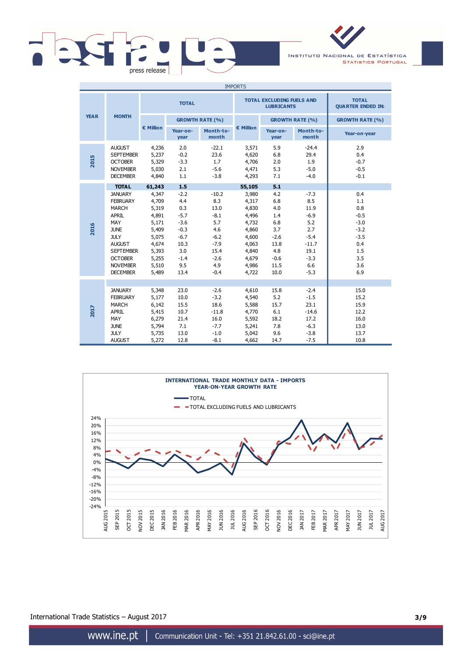

INSTITUTO NACIONAL DE ESTATÍSTICA **STATISTICS PORTUGAL** 

| <b>IMPORTS</b> |                                                                                                                                                                                              |                                                                                                 |                                                                                                      |                                                                                                       |                                                                                                 |                                                                                           |                                                                                                       |                                                                                              |
|----------------|----------------------------------------------------------------------------------------------------------------------------------------------------------------------------------------------|-------------------------------------------------------------------------------------------------|------------------------------------------------------------------------------------------------------|-------------------------------------------------------------------------------------------------------|-------------------------------------------------------------------------------------------------|-------------------------------------------------------------------------------------------|-------------------------------------------------------------------------------------------------------|----------------------------------------------------------------------------------------------|
|                |                                                                                                                                                                                              | <b>TOTAL</b>                                                                                    |                                                                                                      |                                                                                                       |                                                                                                 | <b>TOTAL EXCLUDING FUELS AND</b><br><b>LUBRICANTS</b>                                     |                                                                                                       | <b>TOTAL</b><br><b>QUARTER ENDED IN:</b>                                                     |
| <b>YEAR</b>    | <b>MONTH</b>                                                                                                                                                                                 |                                                                                                 |                                                                                                      | <b>GROWTH RATE (%)</b>                                                                                |                                                                                                 |                                                                                           | <b>GROWTH RATE (%)</b>                                                                                | <b>GROWTH RATE (%)</b>                                                                       |
|                | $\epsilon$ Million<br>Month-to-<br>Year-on-<br>month<br>year                                                                                                                                 | € Million                                                                                       | Year-on-<br>year                                                                                     | Month-to-<br>month                                                                                    | Year-on-year                                                                                    |                                                                                           |                                                                                                       |                                                                                              |
| 2015           | <b>AUGUST</b><br><b>SEPTEMBER</b><br><b>OCTOBER</b><br><b>NOVEMBER</b><br><b>DECEMBER</b>                                                                                                    | 4,236<br>5,237<br>5,329<br>5,030<br>4,840                                                       | 2.0<br>$-0.2$<br>$-3.3$<br>2.1<br>1.1                                                                | $-22.1$<br>23.6<br>1.7<br>$-5.6$<br>$-3.8$                                                            | 3,571<br>4,620<br>4,706<br>4,471<br>4,293                                                       | 5.9<br>6.8<br>2.0<br>5.3<br>7.1                                                           | $-24.4$<br>29.4<br>1.9<br>$-5.0$<br>$-4.0$                                                            | 2.9<br>0.4<br>$-0.7$<br>$-0.5$<br>$-0.1$                                                     |
|                | <b>TOTAL</b>                                                                                                                                                                                 | 61,243                                                                                          | 1.5                                                                                                  |                                                                                                       | 55,105                                                                                          | 5.1                                                                                       |                                                                                                       |                                                                                              |
| 2016           | <b>JANUARY</b><br><b>FEBRUARY</b><br><b>MARCH</b><br>APRIL<br>MAY<br><b>JUNE</b><br><b>JULY</b><br><b>AUGUST</b><br><b>SEPTEMBER</b><br><b>OCTOBER</b><br><b>NOVEMBER</b><br><b>DECEMBER</b> | 4,347<br>4,709<br>5,319<br>4,891<br>5,171<br>5,409<br>5,075<br>4,674<br>5,393<br>5,255<br>5,510 | $-2.2$<br>4.4<br>0.3<br>$-5.7$<br>$-3.6$<br>$-0.3$<br>$-6.7$<br>10.3<br>3.0<br>$-1.4$<br>9.5<br>13.4 | $-10.2$<br>8.3<br>13.0<br>$-8.1$<br>5.7<br>4.6<br>$-6.2$<br>$-7.9$<br>15.4<br>$-2.6$<br>4.9<br>$-0.4$ | 3,980<br>4,317<br>4,830<br>4,496<br>4,732<br>4,860<br>4,600<br>4,063<br>4,840<br>4,679<br>4,986 | 4.2<br>6.8<br>4.0<br>1.4<br>6.8<br>3.7<br>$-2.6$<br>13.8<br>4.8<br>$-0.6$<br>11.5<br>10.0 | $-7.3$<br>8.5<br>11.9<br>$-6.9$<br>5.2<br>2.7<br>$-5.4$<br>$-11.7$<br>19.1<br>$-3.3$<br>6.6<br>$-5.3$ | 0.4<br>1.1<br>0.8<br>$-0.5$<br>$-3.0$<br>$-3.2$<br>$-3.5$<br>0.4<br>1.5<br>3.5<br>3.6<br>6.9 |
|                |                                                                                                                                                                                              | 5,489                                                                                           |                                                                                                      |                                                                                                       | 4,722                                                                                           |                                                                                           |                                                                                                       |                                                                                              |
| 2017           | <b>JANUARY</b><br><b>FEBRUARY</b><br><b>MARCH</b><br>APRIL<br>MAY<br><b>JUNE</b><br><b>JULY</b>                                                                                              | 5,348<br>5,177<br>6,142<br>5,415<br>6,279<br>5,794<br>5,735                                     | 23.0<br>10.0<br>15.5<br>10.7<br>21.4<br>7.1<br>13.0                                                  | $-2.6$<br>$-3.2$<br>18.6<br>$-11.8$<br>16.0<br>$-7.7$<br>$-1.0$                                       | 4,610<br>4,540<br>5,588<br>4,770<br>5,592<br>5,241<br>5,042                                     | 15.8<br>5.2<br>15.7<br>6.1<br>18.2<br>7.8<br>9.6                                          | $-2.4$<br>$-1.5$<br>23.1<br>$-14.6$<br>17.2<br>$-6.3$<br>$-3.8$                                       | 15.0<br>15.2<br>15.9<br>12.2<br>16.0<br>13.0<br>13.7                                         |
|                | <b>AUGUST</b>                                                                                                                                                                                | 5,272                                                                                           | 12.8                                                                                                 | $-8.1$                                                                                                | 4,662                                                                                           | 14.7                                                                                      | $-7.5$                                                                                                | 10.8                                                                                         |



International Trade Statistics – August 2017 **3/9**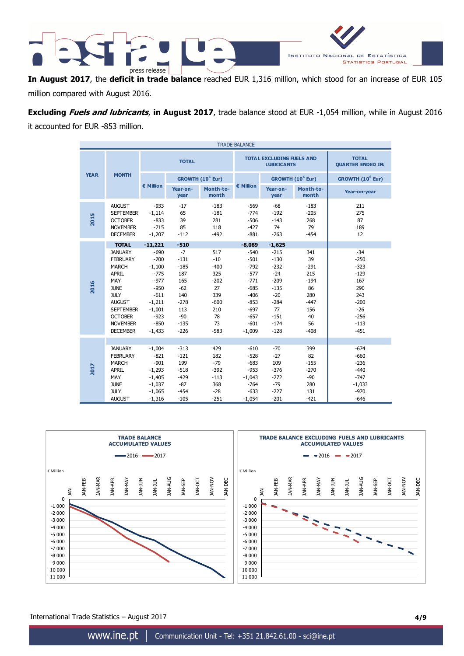

**In August 2017**, the **deficit in trade balance** reached EUR 1,316 million, which stood for an increase of EUR 105 million compared with August 2016.

**Excluding Fuels and lubricants**, **in August 2017**, trade balance stood at EUR -1,054 million, while in August 2016 it accounted for EUR -853 million.

| <b>TRADE BALANCE</b> |                                                                                                                                                                                                     |                                                                                                                              |                                                                                                      |                                                                                             |                                                                                                                        |                                                                                                                |                                                                                          |                                                                                                           |
|----------------------|-----------------------------------------------------------------------------------------------------------------------------------------------------------------------------------------------------|------------------------------------------------------------------------------------------------------------------------------|------------------------------------------------------------------------------------------------------|---------------------------------------------------------------------------------------------|------------------------------------------------------------------------------------------------------------------------|----------------------------------------------------------------------------------------------------------------|------------------------------------------------------------------------------------------|-----------------------------------------------------------------------------------------------------------|
|                      | <b>TOTAL</b>                                                                                                                                                                                        |                                                                                                                              |                                                                                                      | <b>TOTAL EXCLUDING FUELS AND</b><br><b>LUBRICANTS</b>                                       |                                                                                                                        | <b>TOTAL</b><br><b>QUARTER ENDED IN:</b>                                                                       |                                                                                          |                                                                                                           |
| <b>YEAR</b>          | <b>MONTH</b>                                                                                                                                                                                        |                                                                                                                              |                                                                                                      | GROWTH (10 <sup>6</sup> Eur)                                                                |                                                                                                                        |                                                                                                                | GROWTH (10 <sup>6</sup> Eur)                                                             | GROWTH (10 <sup>6</sup> Eur)                                                                              |
|                      |                                                                                                                                                                                                     | € Million                                                                                                                    | Year-on-<br>year                                                                                     | Month-to-<br>month                                                                          | € Million                                                                                                              | Year-on-<br>year                                                                                               | Month-to-<br>month                                                                       | Year-on-year                                                                                              |
| 2015                 | <b>AUGUST</b><br><b>SEPTEMBER</b><br><b>OCTOBER</b><br><b>NOVEMBER</b><br><b>DECEMBER</b>                                                                                                           | $-933$<br>$-1,114$<br>$-833$<br>$-715$<br>$-1,207$                                                                           | $-17$<br>65<br>39<br>85<br>$-112$                                                                    | $-183$<br>$-181$<br>281<br>118<br>$-492$                                                    | $-569$<br>$-774$<br>$-506$<br>$-427$<br>$-881$                                                                         | $-68$<br>$-192$<br>$-143$<br>74<br>$-263$                                                                      | $-183$<br>$-205$<br>268<br>79<br>$-454$                                                  | 211<br>275<br>87<br>189<br>12                                                                             |
|                      | <b>TOTAL</b>                                                                                                                                                                                        | $-11,221$                                                                                                                    | $-510$                                                                                               |                                                                                             | $-8,089$                                                                                                               | $-1,625$                                                                                                       |                                                                                          |                                                                                                           |
| 2016                 | <b>JANUARY</b><br><b>FEBRUARY</b><br><b>MARCH</b><br><b>APRIL</b><br>MAY<br><b>JUNE</b><br><b>JULY</b><br><b>AUGUST</b><br><b>SEPTEMBER</b><br><b>OCTOBER</b><br><b>NOVEMBER</b><br><b>DECEMBER</b> | $-690$<br>$-700$<br>$-1,100$<br>$-775$<br>$-977$<br>$-950$<br>$-611$<br>$-1,211$<br>$-1,001$<br>$-923$<br>$-850$<br>$-1,433$ | $-7$<br>$-131$<br>$-185$<br>187<br>165<br>$-62$<br>140<br>$-278$<br>113<br>$-90$<br>$-135$<br>$-226$ | 517<br>$-10$<br>$-400$<br>325<br>$-202$<br>27<br>339<br>$-600$<br>210<br>78<br>73<br>$-583$ | $-540$<br>$-501$<br>$-792$<br>$-577$<br>$-771$<br>$-685$<br>$-406$<br>$-853$<br>$-697$<br>$-657$<br>$-601$<br>$-1,009$ | $-215$<br>$-130$<br>$-232$<br>$-24$<br>$-209$<br>$-135$<br>$-20$<br>$-284$<br>77<br>$-151$<br>$-174$<br>$-128$ | 341<br>39<br>$-291$<br>215<br>$-194$<br>86<br>280<br>$-447$<br>156<br>40<br>56<br>$-408$ | $-34$<br>$-250$<br>$-323$<br>$-129$<br>167<br>290<br>243<br>$-200$<br>$-26$<br>$-256$<br>$-113$<br>$-451$ |
| 2017                 | <b>JANUARY</b><br><b>FEBRUARY</b><br><b>MARCH</b><br><b>APRIL</b><br>MAY<br><b>JUNE</b><br><b>JULY</b><br><b>AUGUST</b>                                                                             | $-1,004$<br>$-821$<br>$-901$<br>$-1,293$<br>$-1,405$<br>$-1,037$<br>$-1,065$<br>$-1,316$                                     | $-313$<br>$-121$<br>199<br>$-518$<br>$-429$<br>$-87$<br>$-454$<br>$-105$                             | 429<br>182<br>$-79$<br>$-392$<br>$-113$<br>368<br>$-28$<br>$-251$                           | $-610$<br>$-528$<br>$-683$<br>$-953$<br>$-1,043$<br>$-764$<br>$-633$<br>$-1,054$                                       | $-70$<br>$-27$<br>109<br>$-376$<br>$-272$<br>$-79$<br>$-227$<br>$-201$                                         | 399<br>82<br>$-155$<br>$-270$<br>$-90$<br>280<br>131<br>$-421$                           | $-674$<br>$-660$<br>$-236$<br>$-440$<br>$-747$<br>$-1,033$<br>$-970$<br>$-646$                            |



International Trade Statistics – August 2017 **4/9**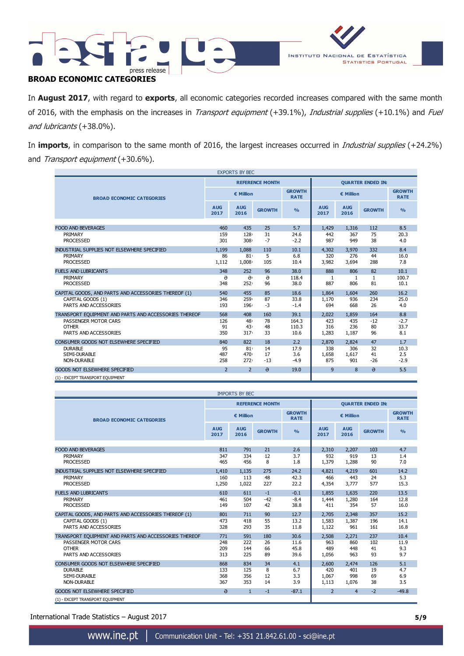

In **August 2017**, with regard to **exports**, all economic categories recorded increases compared with the same month of 2016, with the emphasis on the increases in *Transport equipment* (+39.1%), Industrial supplies (+10.1%) and Fuel and lubricants (+38.0%).

In **imports**, in comparison to the same month of 2016, the largest increases occurred in Industrial supplies (+24.2%) and Transport equipment (+30.6%).

|                                                       |                                           | <b>EXPORTS BY BEC</b> |                        |               |                          |                    |               |                              |
|-------------------------------------------------------|-------------------------------------------|-----------------------|------------------------|---------------|--------------------------|--------------------|---------------|------------------------------|
|                                                       |                                           |                       | <b>REFERENCE MONTH</b> |               | <b>QUARTER ENDED IN:</b> |                    |               |                              |
| <b>BROAD ECONOMIC CATEGORIES</b>                      | <b>GROWTH</b><br>€ Million<br><b>RATE</b> |                       |                        |               | € Million                |                    |               | <b>GROWTH</b><br><b>RATE</b> |
|                                                       | <b>AUG</b><br>2017                        | <b>AUG</b><br>2016    | <b>GROWTH</b>          | $\frac{9}{6}$ | <b>AUG</b><br>2017       | <b>AUG</b><br>2016 | <b>GROWTH</b> | $\frac{0}{0}$                |
| <b>FOOD AND BEVERAGES</b>                             | 460                                       | 435                   | 25                     | 5.7           | 1,429                    | 1,316              | 112           | 8.5                          |
|                                                       |                                           |                       |                        |               |                          |                    |               |                              |
| PRIMARY                                               | 159                                       | 128                   | 31                     | 24.6          | 442                      | 367                | 75            | 20.3                         |
| <b>PROCESSED</b>                                      | 301                                       | 308 <sub>1</sub>      | $-7$                   | $-2.2$        | 987                      | 949                | 38            | 4.0                          |
| INDUSTRIAL SUPPLIES NOT ELSEWHERE SPECIFIED           | 1,199                                     | 1.088                 | 110                    | 10.1          | 4,302                    | 3,970              | 332           | 8.4                          |
| PRIMARY                                               | 86                                        | 81 <sub>1</sub>       | 5                      | 6.8           | 320                      | 276                | 44            | 16.0                         |
| <b>PROCESSED</b>                                      | 1,112                                     | 1.008                 | 105                    | 10.4          | 3,982                    | 3,694              | 288           | 7.8                          |
| <b>FUELS AND LUBRICANTS</b>                           | 348                                       | 252                   | 96                     | 38.0          | 888                      | 806                | 82            | 10.1                         |
| PRIMARY                                               | ə                                         | $\theta$              | $\Theta$               | 118.4         | 1                        | 1                  | 1             | 100.7                        |
| <b>PROCESSED</b>                                      | 348                                       | 252 <sub>1</sub>      | 96                     | 38.0          | 887                      | 806                | 81            | 10.1                         |
| CAPITAL GOODS, AND PARTS AND ACCESSORIES THEREOF (1)  | 540                                       | 455                   | 85                     | 18.6          | 1,864                    | 1,604              | 260           | 16.2                         |
| CAPITAL GOODS (1)                                     | 346                                       | 259                   | 87                     | 33.8          | 1,170                    | 936                | 234           | 25.0                         |
| PARTS AND ACCESSORIES                                 | 193                                       | 196                   | $-3$                   | $-1.4$        | 694                      | 668                | 26            | 4.0                          |
|                                                       |                                           |                       |                        |               |                          |                    |               |                              |
| TRANSPORT EQUIPMENT AND PARTS AND ACCESSORIES THEREOF | 568                                       | 408                   | 160                    | 39.1          | 2.022                    | 1.859              | 164           | 8.8                          |
| PASSENGER MOTOR CARS                                  | 126                                       | 48                    | 78                     | 164.3         | 423                      | 435                | $-12$         | $-2.7$                       |
| <b>OTHER</b>                                          | 91                                        | 43 <sub>1</sub>       | 48                     | 110.3         | 316                      | 236                | 80            | 33.7                         |
| PARTS AND ACCESSORIES                                 | 350                                       | 317 <sub>1</sub>      | 33                     | 10.6          | 1,283                    | 1,187              | 96            | 8.1                          |
| CONSUMER GOODS NOT ELSEWHERE SPECIFIED                | 840                                       | 822                   | 18                     | 2.2           | 2,870                    | 2,824              | 47            | 1.7                          |
| <b>DURABLE</b>                                        | 95                                        | 81 <sub>1</sub>       | 14                     | 17.9          | 338                      | 306                | 32            | 10.3                         |
| <b>SEMI-DURABLE</b>                                   | 487                                       | 470                   | 17                     | 3.6           | 1,658                    | 1,617              | 41            | 2.5                          |
| <b>NON-DURABLE</b>                                    | 258                                       | $272+$                | $-13$                  | $-4.9$        | 875                      | 901                | $-26$         | $-2.9$                       |
| <b>GOODS NOT ELSEWHERE SPECIFIED</b>                  | $\overline{z}$                            | $\overline{2}$        | $\theta$               | 19.0          | 9                        | 8                  | $\theta$      | 5.5                          |
| (1) - EXCEPT TRANSPORT EQUIPMENT                      |                                           |                       |                        |               |                          |                    |               |                              |

| <b>IMPORTS BY BEC</b>                                 |                    |                    |                        |                              |                          |                    |                              |                |
|-------------------------------------------------------|--------------------|--------------------|------------------------|------------------------------|--------------------------|--------------------|------------------------------|----------------|
|                                                       |                    |                    | <b>REFERENCE MONTH</b> |                              | <b>OUARTER ENDED IN:</b> |                    |                              |                |
| <b>BROAD ECONOMIC CATEGORIES</b>                      |                    | € Million          |                        | <b>GROWTH</b><br><b>RATE</b> | € Million                |                    | <b>GROWTH</b><br><b>RATE</b> |                |
|                                                       | <b>AUG</b><br>2017 | <b>AUG</b><br>2016 | <b>GROWTH</b>          | $\frac{0}{0}$                | <b>AUG</b><br>2017       | <b>AUG</b><br>2016 | <b>GROWTH</b>                | O <sub>0</sub> |
|                                                       |                    |                    |                        |                              |                          |                    |                              |                |
| <b>FOOD AND BEVERAGES</b>                             | 811                | 791                | 21                     | 2.6                          | 2,310                    | 2,207              | 103                          | 4.7            |
| PRIMARY                                               | 347                | 334                | 12                     | 3.7                          | 932                      | 919                | 13                           | 1.4            |
| <b>PROCESSED</b>                                      | 465                | 456                | 8                      | 1.8                          | 1,379                    | 1,288              | 90                           | 7.0            |
| INDUSTRIAL SUPPLIES NOT ELSEWHERE SPECIFIED           | 1.410              | 1.135              | 275                    | 24.2                         | 4,821                    | 4,219              | 601                          | 14.2           |
| PRIMARY                                               | 160                | 113                | 48                     | 42.3                         | 466                      | 443                | 24                           | 5.3            |
| <b>PROCESSED</b>                                      | 1,250              | 1,022              | 227                    | 22.2                         | 4,354                    | 3,777              | 577                          | 15.3           |
| <b>FUELS AND LUBRICANTS</b>                           | 610                | 611                | $-1$                   | $-0.1$                       | 1.855                    | 1.635              | 220                          | 13.5           |
| PRIMARY                                               | 461                | 504                | $-42$                  | $-8.4$                       | 1,444                    | 1,280              | 164                          | 12.8           |
| <b>PROCESSED</b>                                      | 149                | 107                | 42                     | 38.8                         | 411                      | 354                | 57                           | 16.0           |
| CAPITAL GOODS, AND PARTS AND ACCESSORIES THEREOF (1)  | 801                | 711                | 90                     | 12.7                         | 2,705                    | 2.348              | 357                          | 15.2           |
| CAPITAL GOODS (1)                                     | 473                | 418                | 55                     | 13.2                         | 1,583                    | 1,387              | 196                          | 14.1           |
| PARTS AND ACCESSORIES                                 | 328                | 293                | 35                     | 11.8                         | 1,122                    | 961                | 161                          | 16.8           |
| TRANSPORT EQUIPMENT AND PARTS AND ACCESSORIES THEREOF | 771                | 591                | 180                    | 30.6                         | 2,508                    | 2.271              | 237                          | 10.4           |
| PASSENGER MOTOR CARS                                  | 248                | 222                | 26                     | 11.6                         | 963                      | 860                | 102                          | 11.9           |
| <b>OTHER</b>                                          | 209                | 144                | 66                     | 45.8                         | 489                      | 448                | 41                           | 9.3            |
| PARTS AND ACCESSORIES                                 | 313                | 225                | 89                     | 39.6                         | 1,056                    | 963                | 93                           | 9.7            |
| CONSUMER GOODS NOT ELSEWHERE SPECIFIED                | 868                | 834                | 34                     | 4.1                          | 2,600                    | 2,474              | 126                          | 5.1            |
| <b>DURABLE</b>                                        | 133                | 125                | 8                      | 6.7                          | 420                      | 401                | 19                           | 4.7            |
| SEMI-DURABLE                                          | 368                | 356                | 12                     | 3.3                          | 1,067                    | 998                | 69                           | 6.9            |
| NON-DURABLE                                           | 367                | 353                | 14                     | 3.9                          | 1,113                    | 1,076              | 38                           | 3.5            |
| <b>GOODS NOT ELSEWHERE SPECIFIED</b>                  | $\Theta$           | $\mathbf{1}$       | $-1$                   | $-87.1$                      | $\overline{2}$           | $\overline{4}$     | $-2$                         | $-49.8$        |
| (1) - EXCEPT TRANSPORT EOUIPMENT                      |                    |                    |                        |                              |                          |                    |                              |                |

International Trade Statistics – August 2017 **5/9**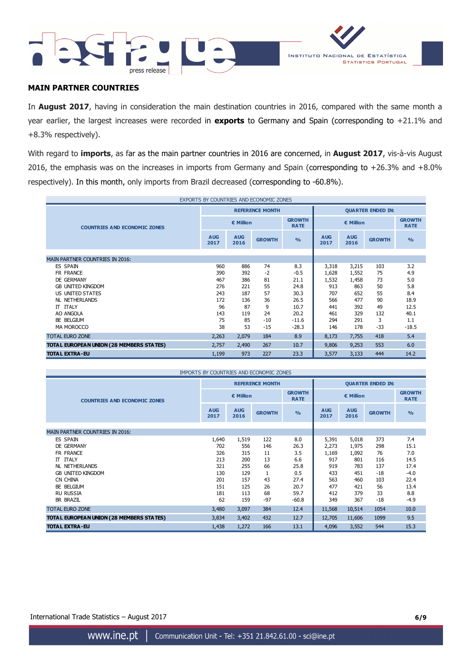



# **MAIN PARTNER COUNTRIES**

In **August 2017**, having in consideration the main destination countries in 2016, compared with the same month a year earlier, the largest increases were recorded in **exports** to Germany and Spain (corresponding to +21.1% and +8.3% respectively).

With regard to **imports**, as far as the main partner countries in 2016 are concerned, in **August 2017**, vis-à-vis August 2016, the emphasis was on the increases in imports from Germany and Spain (corresponding to +26.3% and +8.0% respectively). In this month, only imports from Brazil decreased (corresponding to -60.8%).

| EXPORTS BY COUNTRIES AND ECONOMIC ZONES  |                                           |                    |                        |                |                          |                    |                              |               |
|------------------------------------------|-------------------------------------------|--------------------|------------------------|----------------|--------------------------|--------------------|------------------------------|---------------|
|                                          |                                           |                    | <b>REFERENCE MONTH</b> |                | <b>QUARTER ENDED IN:</b> |                    |                              |               |
| <b>COUNTRIES AND ECONOMIC ZONES</b>      | <b>GROWTH</b><br>€ Million<br><b>RATE</b> |                    |                        | € Million      |                          |                    | <b>GROWTH</b><br><b>RATE</b> |               |
|                                          | <b>AUG</b><br>2017                        | <b>AUG</b><br>2016 | <b>GROWTH</b>          | O <sub>0</sub> | <b>AUG</b><br>2017       | <b>AUG</b><br>2016 | <b>GROWTH</b>                | $\frac{0}{0}$ |
|                                          |                                           |                    |                        |                |                          |                    |                              |               |
| <b>MAIN PARTNER COUNTRIES IN 2016:</b>   |                                           |                    |                        |                |                          |                    |                              |               |
| <b>ES SPAIN</b>                          | 960                                       | 886                | 74                     | 8.3            | 3,318                    | 3,215              | 103                          | 3.2           |
| FR FRANCE                                | 390                                       | 392                | $-2$                   | $-0.5$         | 1,628                    | 1,552              | 75                           | 4.9           |
| DE GERMANY                               | 467                                       | 386                | 81                     | 21.1           | 1,532                    | 1,458              | 73                           | 5.0           |
| <b>GB UNITED KINGDOM</b>                 | 276                                       | 221                | 55                     | 24.8           | 913                      | 863                | 50                           | 5.8           |
| US UNITED STATES                         | 243                                       | 187                | 57                     | 30.3           | 707                      | 652                | 55                           | 8.4           |
| NL NETHERLANDS                           | 172                                       | 136                | 36                     | 26.5           | 566                      | 477                | 90                           | 18.9          |
| IT ITALY                                 | 96                                        | 87                 | 9                      | 10.7           | 441                      | 392                | 49                           | 12.5          |
| AO ANGOLA                                | 143                                       | 119                | 24                     | 20.2           | 461                      | 329                | 132                          | 40.1          |
| <b>BE BELGIUM</b>                        | 75                                        | 85                 | $-10$                  | $-11.6$        | 294                      | 291                | 3                            | 1.1           |
| MA MOROCCO                               | 38                                        | 53                 | $-15$                  | $-28.3$        | 146                      | 178                | $-33$                        | $-18.5$       |
| <b>TOTAL EURO ZONE</b>                   | 2,263                                     | 2,079              | 184                    | 8.9            | 8,173                    | 7,755              | 418                          | 5.4           |
| TOTAL EUROPEAN UNION (28 MEMBERS STATES) | 2,757                                     | 2,490              | 267                    | 10.7           | 9,806                    | 9,253              | 553                          | 6.0           |
| <b>TOTAL EXTRA-EU</b>                    | 1,199                                     | 973                | 227                    | 23.3           | 3,577                    | 3,133              | 444                          | 14.2          |

| IMPORTS BY COUNTRIES AND ECONOMIC ZONES  |                    |                    |                        |                              |                          |                    |               |                              |
|------------------------------------------|--------------------|--------------------|------------------------|------------------------------|--------------------------|--------------------|---------------|------------------------------|
|                                          |                    |                    | <b>REFERENCE MONTH</b> |                              | <b>QUARTER ENDED IN:</b> |                    |               |                              |
| <b>COUNTRIES AND ECONOMIC ZONES</b>      |                    | € Million          |                        | <b>GROWTH</b><br><b>RATE</b> |                          | € Million          |               | <b>GROWTH</b><br><b>RATE</b> |
|                                          | <b>AUG</b><br>2017 | <b>AUG</b><br>2016 | <b>GROWTH</b>          | $\frac{0}{0}$                | <b>AUG</b><br>2017       | <b>AUG</b><br>2016 | <b>GROWTH</b> | $\frac{9}{6}$                |
|                                          |                    |                    |                        |                              |                          |                    |               |                              |
| <b>MAIN PARTNER COUNTRIES IN 2016:</b>   |                    |                    |                        |                              |                          |                    |               |                              |
| <b>ES SPAIN</b>                          | 1,640              | 1,519              | 122                    | 8.0                          | 5,391                    | 5,018              | 373           | 7.4                          |
| <b>DE GERMANY</b>                        | 702                | 556                | 146                    | 26.3                         | 2,273                    | 1,975              | 298           | 15.1                         |
| FR FRANCE                                | 326                | 315                | 11                     | 3.5                          | 1,169                    | 1,092              | 76            | 7.0                          |
| IT ITALY                                 | 213                | 200                | 13                     | 6.6                          | 917                      | 801                | 116           | 14.5                         |
| NL NETHERLANDS                           | 321                | 255                | 66                     | 25.8                         | 919                      | 783                | 137           | 17.4                         |
| <b>GB UNITED KINGDOM</b>                 | 130                | 129                | 1                      | 0.5                          | 433                      | 451                | $-18$         | $-4.0$                       |
| CN CHINA                                 | 201                | 157                | 43                     | 27.4                         | 563                      | 460                | 103           | 22.4                         |
| BE BELGIUM                               | 151                | 125                | 26                     | 20.7                         | 477                      | 421                | 56            | 13.4                         |
| <b>RU RUSSIA</b>                         | 181                | 113                | 68                     | 59.7                         | 412                      | 379                | 33            | 8.8                          |
| <b>BR BRAZIL</b>                         | 62                 | 159                | $-97$                  | $-60.8$                      | 349                      | 367                | $-18$         | $-4.9$                       |
| <b>TOTAL EURO ZONE</b>                   | 3,480              | 3,097              | 384                    | 12.4                         | 11,568                   | 10,514             | 1054          | 10.0                         |
| TOTAL EUROPEAN UNION (28 MEMBERS STATES) | 3,834              | 3,402              | 432                    | 12.7                         | 12,705                   | 11,606             | 1099          | 9.5                          |
| <b>TOTAL EXTRA-EU</b>                    | 1,438              | 1,272              | 166                    | 13.1                         | 4,096                    | 3,552              | 544           | 15.3                         |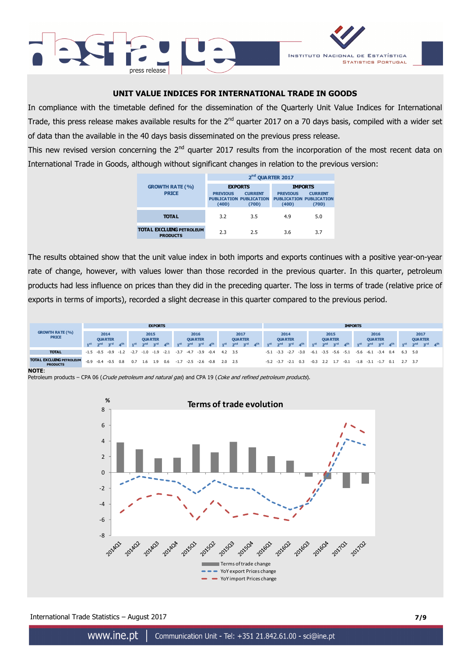



# **UNIT VALUE INDICES FOR INTERNATIONAL TRADE IN GOODS**

In compliance with the timetable defined for the dissemination of the Quarterly Unit Value Indices for International Trade, this press release makes available results for the 2<sup>nd</sup> quarter 2017 on a 70 days basis, compiled with a wider set of data than the available in the 40 days basis disseminated on the previous press release.

This new revised version concerning the  $2^{nd}$  quarter 2017 results from the incorporation of the most recent data on International Trade in Goods, although without significant changes in relation to the previous version:

|                                                    |                                                                              | 2 <sup>nd</sup> QUARTER 2017 |                                                                              |                         |
|----------------------------------------------------|------------------------------------------------------------------------------|------------------------------|------------------------------------------------------------------------------|-------------------------|
| <b>GROWTH RATE (%)</b><br><b>PRICE</b>             | <b>EXPORTS</b><br><b>PREVIOUS</b><br><b>PUBLICATION PUBLICATION</b><br>(40D) | <b>CURRENT</b><br>(70D)      | <b>IMPORTS</b><br><b>PREVIOUS</b><br><b>PUBLICATION PUBLICATION</b><br>(40D) | <b>CURRENT</b><br>(70D) |
| <b>TOTAL</b>                                       | 3.2                                                                          | 3.5                          | 4.9                                                                          | 5.0                     |
| <b>TOTAL EXCLUING PETROLEUM</b><br><b>PRODUCTS</b> | 2.3                                                                          | 2.5                          | 3.6                                                                          | 3.7                     |

The results obtained show that the unit value index in both imports and exports continues with a positive year-on-year rate of change, however, with values lower than those recorded in the previous quarter. In this quarter, petroleum products had less influence on prices than they did in the preceding quarter. The loss in terms of trade (relative price of exports in terms of imports), recorded a slight decrease in this quarter compared to the previous period.



**NOTE**:





International Trade Statistics – August 2017 **7/9**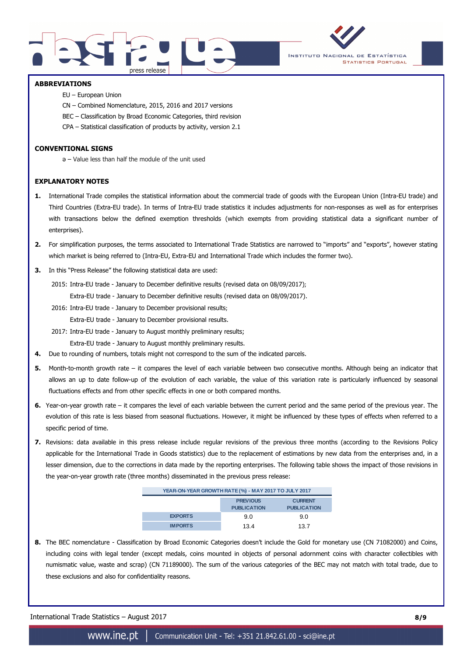



### **ABBREVIATIONS**

- EU European Union
- CN Combined Nomenclature, 2015, 2016 and 2017 versions
- BEC Classification by Broad Economic Categories, third revision
- CPA Statistical classification of products by activity, version 2.1

### **CONVENTIONAL SIGNS**

ә – Value less than half the module of the unit used

### **EXPLANATORY NOTES**

- **1.** International Trade compiles the statistical information about the commercial trade of goods with the European Union (Intra-EU trade) and Third Countries (Extra-EU trade). In terms of Intra-EU trade statistics it includes adjustments for non-responses as well as for enterprises with transactions below the defined exemption thresholds (which exempts from providing statistical data a significant number of enterprises).
- **2.** For simplification purposes, the terms associated to International Trade Statistics are narrowed to "imports" and "exports", however stating which market is being referred to (Intra-EU, Extra-EU and International Trade which includes the former two).
- **3.** In this "Press Release" the following statistical data are used:

2015: Intra-EU trade - January to December definitive results (revised data on 08/09/2017);

- Extra-EU trade January to December definitive results (revised data on 08/09/2017).
- 2016: Intra-EU trade January to December provisional results;

Extra-EU trade - January to December provisional results.

2017: Intra-EU trade - January to August monthly preliminary results;

Extra-EU trade - January to August monthly preliminary results.

- **4.** Due to rounding of numbers, totals might not correspond to the sum of the indicated parcels.
- **5.** Month-to-month growth rate it compares the level of each variable between two consecutive months. Although being an indicator that allows an up to date follow-up of the evolution of each variable, the value of this variation rate is particularly influenced by seasonal fluctuations effects and from other specific effects in one or both compared months.
- **6.** Year-on-year growth rate it compares the level of each variable between the current period and the same period of the previous year. The evolution of this rate is less biased from seasonal fluctuations. However, it might be influenced by these types of effects when referred to a specific period of time.
- **7.** Revisions: data available in this press release include regular revisions of the previous three months (according to the Revisions Policy applicable for the International Trade in Goods statistics) due to the replacement of estimations by new data from the enterprises and, in a lesser dimension, due to the corrections in data made by the reporting enterprises. The following table shows the impact of those revisions in the year-on-year growth rate (three months) disseminated in the previous press release:

| YEAR-ON-YEAR GROWTH RATE (%) - MAY 2017 TO JULY 2017 |                                                                               |      |  |  |  |  |  |
|------------------------------------------------------|-------------------------------------------------------------------------------|------|--|--|--|--|--|
|                                                      | <b>PREVIOUS</b><br><b>CURRENT</b><br><b>PUBLICATION</b><br><b>PUBLICATION</b> |      |  |  |  |  |  |
| <b>EXPORTS</b>                                       | 9.0                                                                           | 9.0  |  |  |  |  |  |
| <b>IMPORTS</b>                                       | 13.4                                                                          | 13.7 |  |  |  |  |  |

**8.** The BEC nomenclature - Classification by Broad Economic Categories doesn't include the Gold for monetary use (CN 71082000) and Coins, including coins with legal tender (except medals, coins mounted in objects of personal adornment coins with character collectibles with numismatic value, waste and scrap) (CN 71189000). The sum of the various categories of the BEC may not match with total trade, due to these exclusions and also for confidentiality reasons.

International Trade Statistics – August 2017 **8/9**